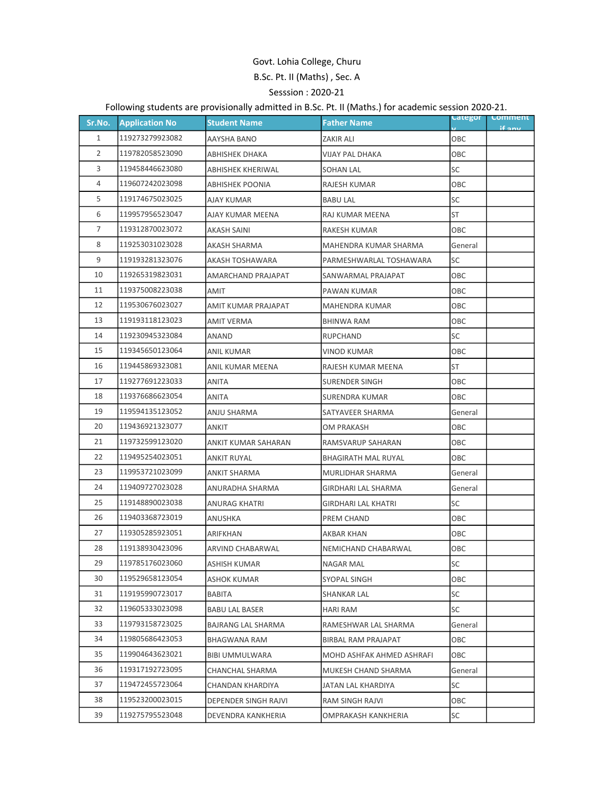## Govt. Lohia College, Churu B.Sc. Pt. II (Maths) , Sec. A Sesssion : 2020-21

## Following students are provisionally admitted in B.Sc. Pt. II (Maths.) for academic session 2020-21.

| Sr.No.         | <b>Application No</b> | <b>Student Name</b>    | <b>Father Name</b>         | <b>categor</b> | <b>Comment</b><br>if any |
|----------------|-----------------------|------------------------|----------------------------|----------------|--------------------------|
| 1              | 119273279923082       | AAYSHA BANO            | <b>ZAKIR ALI</b>           | OBC            |                          |
| $\overline{2}$ | 119782058523090       | <b>ABHISHEK DHAKA</b>  | <b>VIJAY PAL DHAKA</b>     | OBC            |                          |
| 3              | 119458446623080       | ABHISHEK KHERIWAL      | <b>SOHAN LAL</b>           | SC             |                          |
| 4              | 119607242023098       | <b>ABHISHEK POONIA</b> | RAJESH KUMAR               | OBC            |                          |
| 5              | 119174675023025       | AJAY KUMAR             | <b>BABU LAL</b>            | <b>SC</b>      |                          |
| 6              | 119957956523047       | AJAY KUMAR MEENA       | RAJ KUMAR MEENA            | <b>ST</b>      |                          |
| $\overline{7}$ | 119312870023072       | AKASH SAINI            | RAKESH KUMAR               | OBC            |                          |
| 8              | 119253031023028       | AKASH SHARMA           | MAHENDRA KUMAR SHARMA      | General        |                          |
| 9              | 119193281323076       | AKASH TOSHAWARA        | PARMESHWARLAL TOSHAWARA    | SC             |                          |
| 10             | 119265319823031       | AMARCHAND PRAJAPAT     | SANWARMAL PRAJAPAT         | OBC            |                          |
| 11             | 119375008223038       | <b>AMIT</b>            | PAWAN KUMAR                | OBC            |                          |
| 12             | 119530676023027       | AMIT KUMAR PRAJAPAT    | <b>MAHENDRA KUMAR</b>      | OBC            |                          |
| 13             | 119193118123023       | <b>AMIT VERMA</b>      | <b>BHINWA RAM</b>          | OBC            |                          |
| 14             | 119230945323084       | ANAND                  | <b>RUPCHAND</b>            | SC             |                          |
| 15             | 119345650123064       | <b>ANIL KUMAR</b>      | <b>VINOD KUMAR</b>         | OBC            |                          |
| 16             | 119445869323081       | ANIL KUMAR MEENA       | RAJESH KUMAR MEENA         | <b>ST</b>      |                          |
| 17             | 119277691223033       | <b>ANITA</b>           | <b>SURENDER SINGH</b>      | OBC            |                          |
| 18             | 119376686623054       | ANITA                  | <b>SURENDRA KUMAR</b>      | OBC            |                          |
| 19             | 119594135123052       | ANJU SHARMA            | SATYAVEER SHARMA           | General        |                          |
| 20             | 119436921323077       | ANKIT                  | OM PRAKASH                 | OBC            |                          |
| 21             | 119732599123020       | ANKIT KUMAR SAHARAN    | RAMSVARUP SAHARAN          | ОВС            |                          |
| 22             | 119495254023051       | ANKIT RUYAL            | <b>BHAGIRATH MAL RUYAL</b> | OBC            |                          |
| 23             | 119953721023099       | ANKIT SHARMA           | MURLIDHAR SHARMA           | General        |                          |
| 24             | 119409727023028       | ANURADHA SHARMA        | <b>GIRDHARI LAL SHARMA</b> | General        |                          |
| 25             | 119148890023038       | ANURAG KHATRI          | <b>GIRDHARI LAL KHATRI</b> | SC             |                          |
| 26             | 119403368723019       | ANUSHKA                | PREM CHAND                 | OBC            |                          |
| 27             | 119305285923051       | ARIFKHAN               | AKBAR KHAN                 | OBC            |                          |
| 28             | 119138930423096       | ARVIND CHABARWAL       | NEMICHAND CHABARWAL        | OBC            |                          |
| 29             | 119785176023060       | ASHISH KUMAR           | <b>NAGAR MAL</b>           | SC             |                          |
| 30             | 119529658123054       | ASHOK KUMAR            | <b>SYOPAL SINGH</b>        | OBC            |                          |
| 31             | 119195990723017       | BABITA                 | <b>SHANKAR LAL</b>         | <b>SC</b>      |                          |
| 32             | 119605333023098       | BABU LAL BASER         | HARI RAM                   | SC             |                          |
| 33             | 119793158723025       | BAJRANG LAL SHARMA     | RAMESHWAR LAL SHARMA       | General        |                          |
| 34             | 119805686423053       | <b>BHAGWANA RAM</b>    | <b>BIRBAL RAM PRAJAPAT</b> | OBC            |                          |
| 35             | 119904643623021       | <b>BIBI UMMULWARA</b>  | MOHD ASHFAK AHMED ASHRAFI  | OBC            |                          |
| 36             | 119317192723095       | CHANCHAL SHARMA        | MUKESH CHAND SHARMA        | General        |                          |
| 37             | 119472455723064       | CHANDAN KHARDIYA       | JATAN LAL KHARDIYA         | SC             |                          |
| 38             | 119523200023015       | DEPENDER SINGH RAJVI   | RAM SINGH RAJVI            | OBC            |                          |
| 39             | 119275795523048       | DEVENDRA KANKHERIA     | OMPRAKASH KANKHERIA        | SC             |                          |